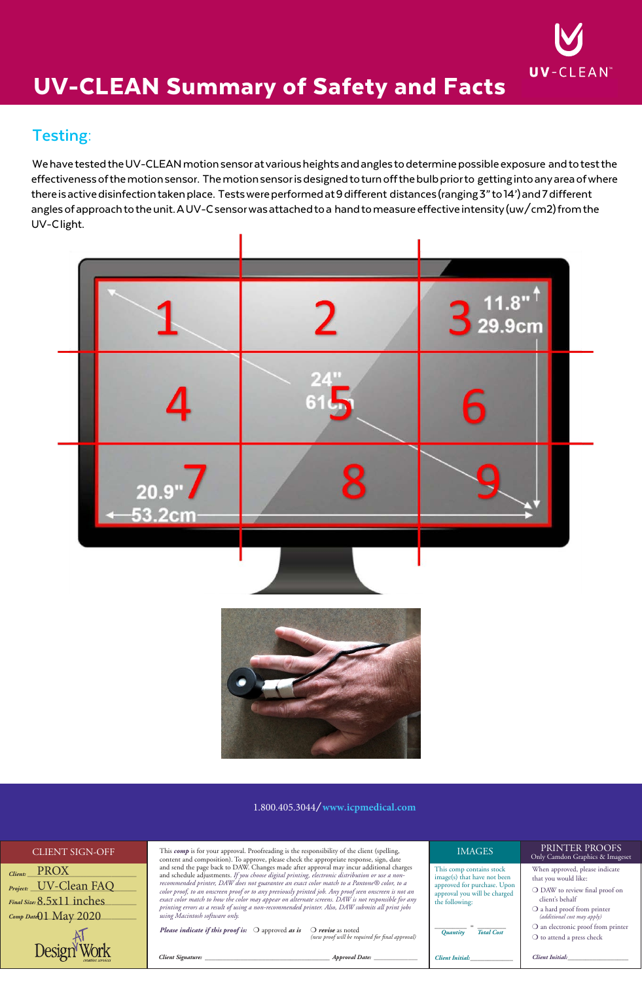# **CP Medical**



## UV-CLEAN Summary of Safety and Facts

### **Testing:**

We have tested the UV-CLEAN motion sensor at various heights and angles to determine possible exposure and to test the effectiveness of the motion sensor. The motion sensor is designed to turn off the bulb prior to getting into any area of where there is active disinfection taken place. Tests were performed at 9 different distances (ranging 3" to 14') and 7 different angles of approach to the unit. A UV-C sensor was attached to a hand to measure effective intensity (uw/cm2) from the UV-C light.

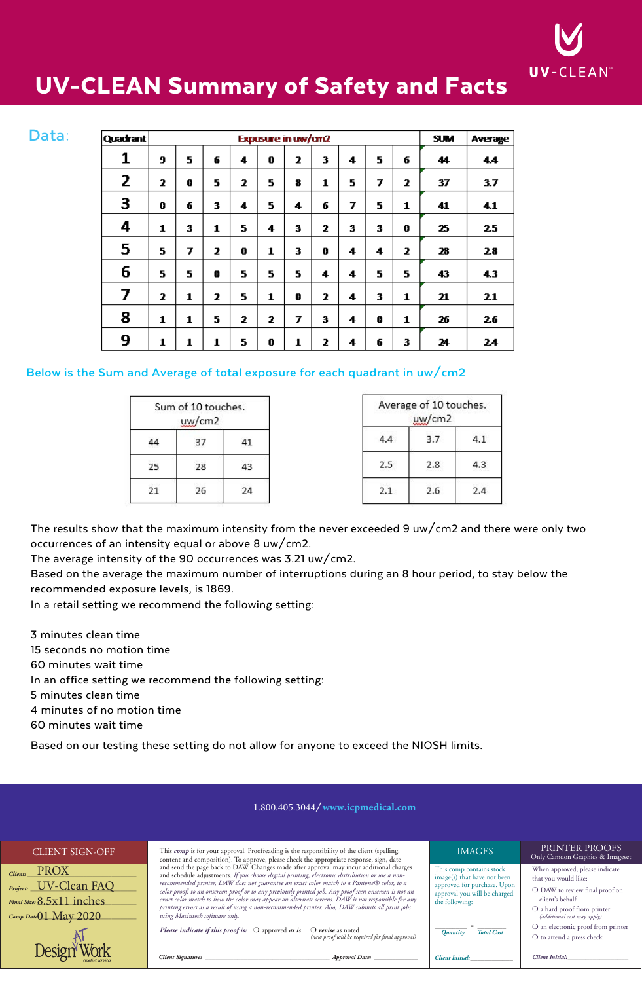**CP Medical** 



## UV-CLEAN Summary of Safety and Facts

| Data: | Quadrant       |   | Exposure in uw/cm2 |    |    |   |   |   |   | <b>SUM</b> | Average |    |     |
|-------|----------------|---|--------------------|----|----|---|---|---|---|------------|---------|----|-----|
|       | 1              | 9 | 5.                 | 6  | 4  | Ō | 2 | 3 | 4 | 5          | 6       | 44 | 4.4 |
|       | 2              | 2 | 0                  | 5. | 2  | 5 | 8 | 1 | 5 | 7          | 2       | 37 | 3.7 |
|       | 3              | 0 | 6                  | 3  | 4  | 5 | 4 | 6 | 7 | 5          | 1       | 41 | 4.1 |
|       | 4              | 1 | 3                  | 1  | 5. | 4 | 3 | 2 | 3 | 3          | 0       | 25 | 2.5 |
|       | 5              | 5 | 7                  | 2  | 0  | 1 | 3 | 0 | 4 | 4          | 2       | 28 | 2.8 |
|       | 6              | 5 | 5.                 | 0  | 5. | 5 | 5 | 4 | 4 | 5          | 5       | 43 | 4.3 |
|       | $\overline{ }$ | 2 | 1                  | 2  | 5. | 1 | 0 | 2 | 4 | 3          | 1       | 21 | 2.1 |
|       | 8              | 1 | 1                  | 5  | 2  | 2 | 7 | 3 | 4 | 0          | 1       | 26 | 2.6 |
|       | 9              | 1 | 1                  | 1  | 5  | 0 | 1 | 2 | 4 | 6          | 3       | 24 | 24  |

#### **Below is the Sum and Average of total exposure for each quadrant in uw/cm2**

|    | Sum of 10 touches.<br>$\mu$ <sub>W</sub> /cm <sub>2</sub> |    |
|----|-----------------------------------------------------------|----|
|    | 37                                                        | 41 |
| 25 | 28                                                        | 43 |
| 21 | 26                                                        | 24 |

|     | Average of 10 touches.<br>uw/cm2 |     |
|-----|----------------------------------|-----|
| 4.4 | 3.7                              | 4.1 |
| 2.5 | 2.8                              | 4.3 |
| 2.1 | 2.6                              | 2.4 |

The results show that the maximum intensity from the never exceeded 9 uw/cm2 and there were only two occurrences of an intensity equal or above 8 uw/cm2.

The average intensity of the 90 occurrences was 3.21 uw/cm2.

Based on the average the maximum number of interruptions during an 8 hour period, to stay below the recommended exposure levels, is 1869.

In a retail setting we recommend the following setting:

3 minutes clean time

15 seconds no motion time

60 minutes wait time

In an office setting we recommend the following setting:

5 minutes clean time

4 minutes of no motion time

60 minutes wait time

Based on our testing these setting do not allow for anyone to exceed the NIOSH limits.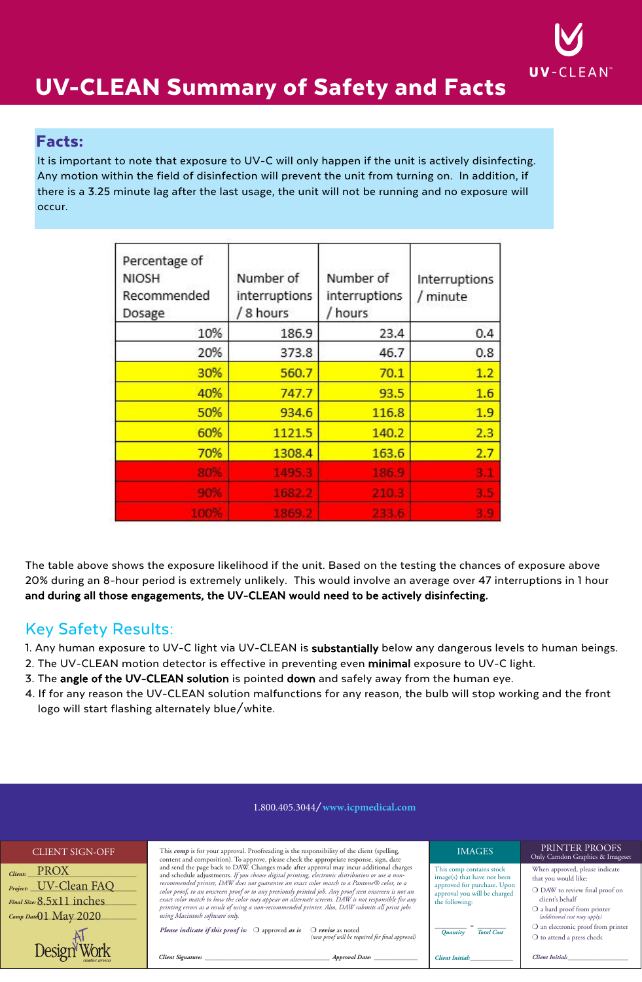**CP Medical** 



## UV-CLEAN Summary of Safety and Facts

### Facts:

It is important to note that exposure to UV-C will only happen if the unit is actively disinfecting. Any motion within the field of disinfection will prevent the unit from turning on. In addition, if there is a 3.25 minute lag after the last usage, the unit will not be running and no exposure will occur.

| Percentage of<br><b>NIOSH</b><br>Recommended<br>Dosage | Number of<br>interruptions<br>8 hours | Number of<br>interruptions<br>hours | Interruptions<br>/ minute |
|--------------------------------------------------------|---------------------------------------|-------------------------------------|---------------------------|
| 10%                                                    | 186.9                                 | 23.4                                | 0.4                       |
| 20%                                                    | 373.8                                 | 46.7                                | 0.8                       |
| 30%                                                    | 560.7                                 | 70.1                                | 1.2                       |
| 40%                                                    | 747.7                                 | 93.5                                | 1.6                       |
| 50%                                                    | 934.6                                 | 116.8                               | 1.9                       |
| 60%                                                    | 1121.5                                | 140.2                               | 2.3                       |
| 70%                                                    | 1308.4                                | 163.6                               | 2.7                       |
| 80%                                                    | 1495.3                                | 186.9                               | 3.1                       |
| 90%                                                    | 1682.2                                | 210.3                               | 3.5                       |
| 100%                                                   | 1869.2                                | 233.6                               | 3.9                       |

The table above shows the exposure likelihood if the unit. Based on the testing the chances of exposure above 20% during an 8-hour period is extremely unlikely. This would involve an average over 47 interruptions in 1 hour and during all those engagements, the UV-CLEAN would need to be actively disinfecting.

### Key Safety Results:

- 1. Any human exposure to UV-C light via UV-CLEAN is substantially below any dangerous levels to human beings.
- 2. The UV-CLEAN motion detector is effective in preventing even minimal exposure to UV-C light.
- 3. The angle of the UV-CLEAN solution is pointed down and safely away from the human eye.
- 4. If for any reason the UV-CLEAN solution malfunctions for any reason, the bulb will stop working and the front  $\log$ o will start flashing alternately blue/white.